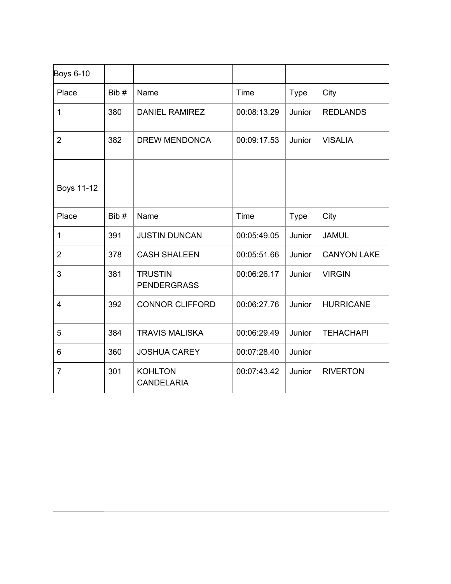| <b>Boys 6-10</b> |      |                                      |             |             |                    |
|------------------|------|--------------------------------------|-------------|-------------|--------------------|
| Place            | Bib# | Name                                 | Time        | <b>Type</b> | City               |
| $\mathbf{1}$     | 380  | <b>DANIEL RAMIREZ</b>                | 00:08:13.29 | Junior      | <b>REDLANDS</b>    |
| $\overline{2}$   | 382  | <b>DREW MENDONCA</b>                 | 00:09:17.53 | Junior      | <b>VISALIA</b>     |
|                  |      |                                      |             |             |                    |
| Boys 11-12       |      |                                      |             |             |                    |
| Place            | Bib# | Name                                 | Time        | <b>Type</b> | City               |
| $\mathbf 1$      | 391  | <b>JUSTIN DUNCAN</b>                 | 00:05:49.05 | Junior      | <b>JAMUL</b>       |
| 2                | 378  | <b>CASH SHALEEN</b>                  | 00:05:51.66 | Junior      | <b>CANYON LAKE</b> |
| 3                | 381  | <b>TRUSTIN</b><br><b>PENDERGRASS</b> | 00:06:26.17 | Junior      | <b>VIRGIN</b>      |
| $\overline{4}$   | 392  | <b>CONNOR CLIFFORD</b>               | 00:06:27.76 | Junior      | <b>HURRICANE</b>   |
| 5                | 384  | <b>TRAVIS MALISKA</b>                | 00:06:29.49 | Junior      | <b>TEHACHAPI</b>   |
| 6                | 360  | <b>JOSHUA CAREY</b>                  | 00:07:28.40 | Junior      |                    |
| $\overline{7}$   | 301  | <b>KOHLTON</b><br><b>CANDELARIA</b>  | 00:07:43.42 | Junior      | <b>RIVERTON</b>    |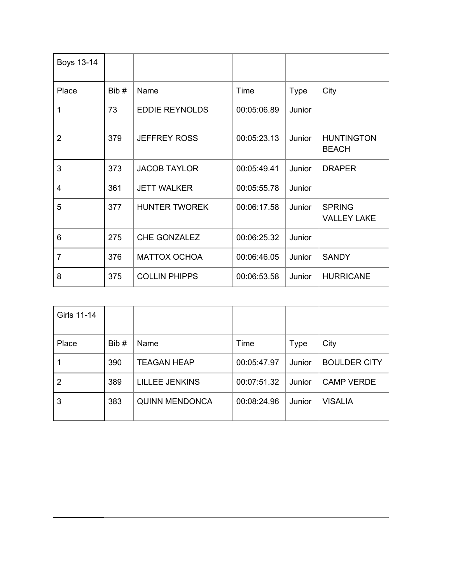| Boys 13-14     |      |                       |             |             |                                     |
|----------------|------|-----------------------|-------------|-------------|-------------------------------------|
| Place          | Bib# | Name                  | Time        | <b>Type</b> | City                                |
| 1              | 73   | <b>EDDIE REYNOLDS</b> | 00:05:06.89 | Junior      |                                     |
| $\overline{2}$ | 379  | <b>JEFFREY ROSS</b>   | 00:05:23.13 | Junior      | <b>HUNTINGTON</b><br><b>BEACH</b>   |
| 3              | 373  | <b>JACOB TAYLOR</b>   | 00:05:49.41 | Junior      | <b>DRAPER</b>                       |
| $\overline{4}$ | 361  | <b>JETT WALKER</b>    | 00:05:55.78 | Junior      |                                     |
| 5              | 377  | <b>HUNTER TWOREK</b>  | 00:06:17.58 | Junior      | <b>SPRING</b><br><b>VALLEY LAKE</b> |
| 6              | 275  | CHE GONZALEZ          | 00:06:25.32 | Junior      |                                     |
| $\overline{7}$ | 376  | <b>MATTOX OCHOA</b>   | 00:06:46.05 | Junior      | <b>SANDY</b>                        |
| 8              | 375  | <b>COLLIN PHIPPS</b>  | 00:06:53.58 | Junior      | <b>HURRICANE</b>                    |

| Girls 11-14 |      |                       |             |             |                     |
|-------------|------|-----------------------|-------------|-------------|---------------------|
| Place       | Bib# | Name                  | Time        | <b>Type</b> | City                |
|             | 390  | <b>TEAGAN HEAP</b>    | 00:05:47.97 | Junior      | <b>BOULDER CITY</b> |
| 2           | 389  | <b>LILLEE JENKINS</b> | 00:07:51.32 | Junior      | <b>CAMP VERDE</b>   |
| 3           | 383  | <b>QUINN MENDONCA</b> | 00:08:24.96 | Junior      | <b>VISALIA</b>      |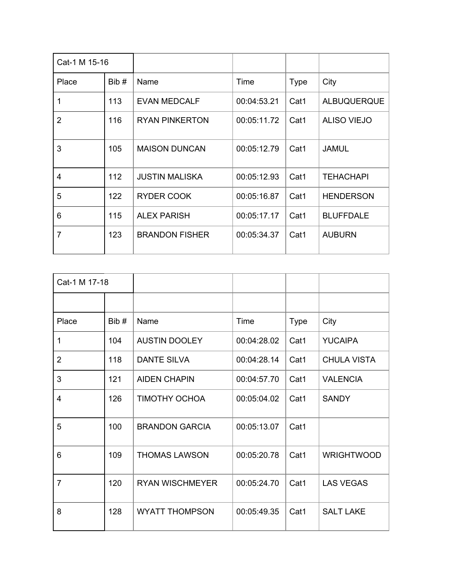| Cat-1 M 15-16  |      |                       |             |             |                    |
|----------------|------|-----------------------|-------------|-------------|--------------------|
| Place          | Bib# | Name                  | Time        | <b>Type</b> | City               |
| 1              | 113  | <b>EVAN MEDCALF</b>   | 00:04:53.21 | Cat1        | <b>ALBUQUERQUE</b> |
| $\overline{2}$ | 116  | <b>RYAN PINKERTON</b> | 00:05:11.72 | Cat1        | <b>ALISO VIEJO</b> |
| 3              | 105  | <b>MAISON DUNCAN</b>  | 00:05:12.79 | Cat1        | <b>JAMUL</b>       |
| 4              | 112  | <b>JUSTIN MALISKA</b> | 00:05:12.93 | Cat1        | <b>TEHACHAPI</b>   |
| 5              | 122  | <b>RYDER COOK</b>     | 00:05:16.87 | Cat1        | <b>HENDERSON</b>   |
| 6              | 115  | <b>ALEX PARISH</b>    | 00:05:17.17 | Cat1        | <b>BLUFFDALE</b>   |
| $\overline{7}$ | 123  | <b>BRANDON FISHER</b> | 00:05:34.37 | Cat1        | <b>AUBURN</b>      |

| Cat-1 M 17-18  |      |                        |             |             |                    |
|----------------|------|------------------------|-------------|-------------|--------------------|
|                |      |                        |             |             |                    |
| Place          | Bib# | Name                   | Time        | <b>Type</b> | City               |
| 1              | 104  | <b>AUSTIN DOOLEY</b>   | 00:04:28.02 | Cat1        | <b>YUCAIPA</b>     |
| $\overline{2}$ | 118  | <b>DANTE SILVA</b>     | 00:04:28.14 | Cat1        | <b>CHULA VISTA</b> |
| 3              | 121  | <b>AIDEN CHAPIN</b>    | 00:04:57.70 | Cat1        | <b>VALENCIA</b>    |
| 4              | 126  | <b>TIMOTHY OCHOA</b>   | 00:05:04.02 | Cat1        | <b>SANDY</b>       |
| 5              | 100  | <b>BRANDON GARCIA</b>  | 00:05:13.07 | Cat1        |                    |
| 6              | 109  | <b>THOMAS LAWSON</b>   | 00:05:20.78 | Cat1        | <b>WRIGHTWOOD</b>  |
| $\overline{7}$ | 120  | <b>RYAN WISCHMEYER</b> | 00:05:24.70 | Cat1        | <b>LAS VEGAS</b>   |
| 8              | 128  | <b>WYATT THOMPSON</b>  | 00:05:49.35 | Cat1        | <b>SALT LAKE</b>   |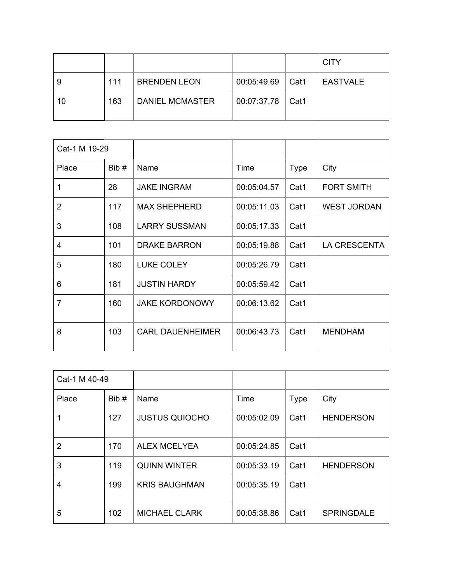|    |     |                        |                            | <b>CITY</b> |
|----|-----|------------------------|----------------------------|-------------|
| 9  | 111 | <b>BRENDEN LEON</b>    | $00:05:49.69$ $\vert$ Cat1 | I EASTVALE  |
| 10 | 163 | <b>DANIEL MCMASTER</b> | 00:07:37.78   Cat1         |             |

| Cat-1 M 19-29  |      |                         |             |             |                     |
|----------------|------|-------------------------|-------------|-------------|---------------------|
| Place          | Bib# | Name                    | Time        | <b>Type</b> | City                |
|                | 28   | <b>JAKE INGRAM</b>      | 00:05:04.57 | Cat1        | <b>FORT SMITH</b>   |
| $\overline{2}$ | 117  | <b>MAX SHEPHERD</b>     | 00:05:11.03 | Cat1        | <b>WEST JORDAN</b>  |
| 3              | 108  | <b>LARRY SUSSMAN</b>    | 00:05:17.33 | Cat1        |                     |
| 4              | 101  | <b>DRAKE BARRON</b>     | 00:05:19.88 | Cat1        | <b>LA CRESCENTA</b> |
| 5              | 180  | <b>LUKE COLEY</b>       | 00:05:26.79 | Cat1        |                     |
| 6              | 181  | <b>JUSTIN HARDY</b>     | 00:05:59.42 | Cat1        |                     |
| $\overline{7}$ | 160  | <b>JAKE KORDONOWY</b>   | 00:06:13.62 | Cat1        |                     |
| 8              | 103  | <b>CARL DAUENHEIMER</b> | 00:06:43.73 | Cat1        | <b>MENDHAM</b>      |

| Cat-1 M 40-49  |      |                       |             |             |                   |
|----------------|------|-----------------------|-------------|-------------|-------------------|
| Place          | Bib# | Name                  | Time        | <b>Type</b> | City              |
|                | 127  | <b>JUSTUS QUIOCHO</b> | 00:05:02.09 | Cat1        | <b>HENDERSON</b>  |
| $\overline{2}$ | 170  | <b>ALEX MCELYEA</b>   | 00:05:24.85 | Cat1        |                   |
| 3              | 119  | <b>QUINN WINTER</b>   | 00:05:33.19 | Cat1        | <b>HENDERSON</b>  |
| 4              | 199  | <b>KRIS BAUGHMAN</b>  | 00:05:35.19 | Cat1        |                   |
| 5              | 102  | <b>MICHAEL CLARK</b>  | 00:05:38.86 | Cat1        | <b>SPRINGDALE</b> |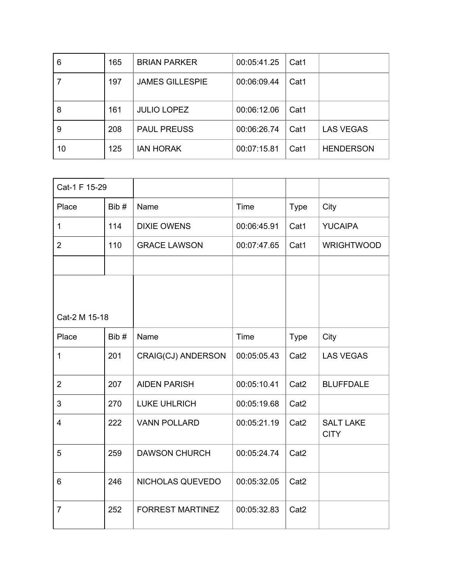| 6  | 165 | <b>BRIAN PARKER</b>    | 00:05:41.25 | Cat1 |                  |
|----|-----|------------------------|-------------|------|------------------|
|    | 197 | <b>JAMES GILLESPIE</b> | 00:06:09.44 | Cat1 |                  |
| 8  | 161 | <b>JULIO LOPEZ</b>     | 00:06:12.06 | Cat1 |                  |
| 9  | 208 | <b>PAUL PREUSS</b>     | 00:06:26.74 | Cat1 | <b>LAS VEGAS</b> |
| 10 | 125 | <b>JAN HORAK</b>       | 00:07:15.81 | Cat1 | <b>HENDERSON</b> |

| Cat-1 F 15-29  |      |                         |             |                  |                                 |
|----------------|------|-------------------------|-------------|------------------|---------------------------------|
| Place          | Bib# | Name                    | <b>Time</b> | <b>Type</b>      | City                            |
| $\mathbf 1$    | 114  | <b>DIXIE OWENS</b>      | 00:06:45.91 | Cat1             | <b>YUCAIPA</b>                  |
| $\overline{2}$ | 110  | <b>GRACE LAWSON</b>     | 00:07:47.65 | Cat1             | <b>WRIGHTWOOD</b>               |
|                |      |                         |             |                  |                                 |
|                |      |                         |             |                  |                                 |
|                |      |                         |             |                  |                                 |
| Cat-2 M 15-18  |      |                         |             |                  |                                 |
| Place          | Bib# | Name                    | Time        | <b>Type</b>      | City                            |
| $\mathbf{1}$   | 201  | CRAIG(CJ) ANDERSON      | 00:05:05.43 | Cat <sub>2</sub> | <b>LAS VEGAS</b>                |
| $\overline{2}$ | 207  | <b>AIDEN PARISH</b>     | 00:05:10.41 | Cat <sub>2</sub> | <b>BLUFFDALE</b>                |
| 3              | 270  | <b>LUKE UHLRICH</b>     | 00:05:19.68 | Cat <sub>2</sub> |                                 |
| 4              | 222  | <b>VANN POLLARD</b>     | 00:05:21.19 | Cat <sub>2</sub> | <b>SALT LAKE</b><br><b>CITY</b> |
| 5              | 259  | <b>DAWSON CHURCH</b>    | 00:05:24.74 | Cat <sub>2</sub> |                                 |
| 6              | 246  | NICHOLAS QUEVEDO        | 00:05:32.05 | Cat <sub>2</sub> |                                 |
| $\overline{7}$ | 252  | <b>FORREST MARTINEZ</b> | 00:05:32.83 | Cat <sub>2</sub> |                                 |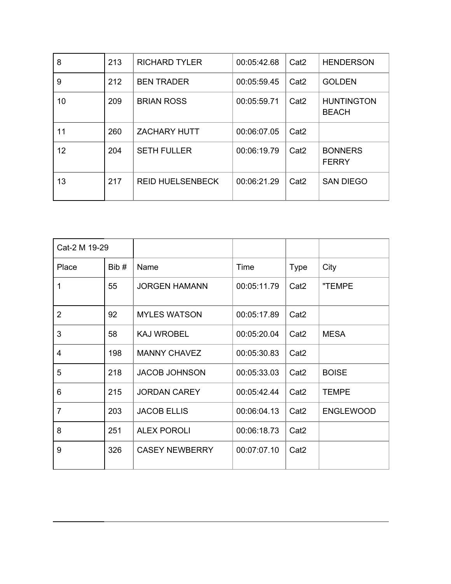| 8  | 213 | <b>RICHARD TYLER</b>    | 00:05:42.68 | Cat <sub>2</sub> | <b>HENDERSON</b>                  |
|----|-----|-------------------------|-------------|------------------|-----------------------------------|
| 9  | 212 | <b>BEN TRADER</b>       | 00:05:59.45 | Cat <sub>2</sub> | <b>GOLDEN</b>                     |
| 10 | 209 | <b>BRIAN ROSS</b>       | 00:05:59.71 | Cat <sub>2</sub> | <b>HUNTINGTON</b><br><b>BEACH</b> |
| 11 | 260 | <b>ZACHARY HUTT</b>     | 00:06:07.05 | Cat <sub>2</sub> |                                   |
| 12 | 204 | <b>SETH FULLER</b>      | 00:06:19.79 | Cat <sub>2</sub> | <b>BONNERS</b><br><b>FERRY</b>    |
| 13 | 217 | <b>REID HUELSENBECK</b> | 00:06:21.29 | Cat <sub>2</sub> | <b>SAN DIEGO</b>                  |

| Cat-2 M 19-29  |      |                       |             |                  |                  |
|----------------|------|-----------------------|-------------|------------------|------------------|
| Place          | Bib# | Name                  | Time        | <b>Type</b>      | City             |
| 1              | 55   | <b>JORGEN HAMANN</b>  | 00:05:11.79 | Cat <sub>2</sub> | "TEMPE           |
| $\overline{2}$ | 92   | <b>MYLES WATSON</b>   | 00:05:17.89 | Cat <sub>2</sub> |                  |
| 3              | 58   | <b>KAJ WROBEL</b>     | 00:05:20.04 | Cat <sub>2</sub> | <b>MESA</b>      |
| 4              | 198  | <b>MANNY CHAVEZ</b>   | 00:05:30.83 | Cat <sub>2</sub> |                  |
| 5              | 218  | <b>JACOB JOHNSON</b>  | 00:05:33.03 | Cat <sub>2</sub> | <b>BOISE</b>     |
| 6              | 215  | <b>JORDAN CAREY</b>   | 00:05:42.44 | Cat <sub>2</sub> | <b>TEMPE</b>     |
| $\overline{7}$ | 203  | <b>JACOB ELLIS</b>    | 00:06:04.13 | Cat <sub>2</sub> | <b>ENGLEWOOD</b> |
| 8              | 251  | <b>ALEX POROLI</b>    | 00:06:18.73 | Cat <sub>2</sub> |                  |
| 9              | 326  | <b>CASEY NEWBERRY</b> | 00:07:07.10 | Cat <sub>2</sub> |                  |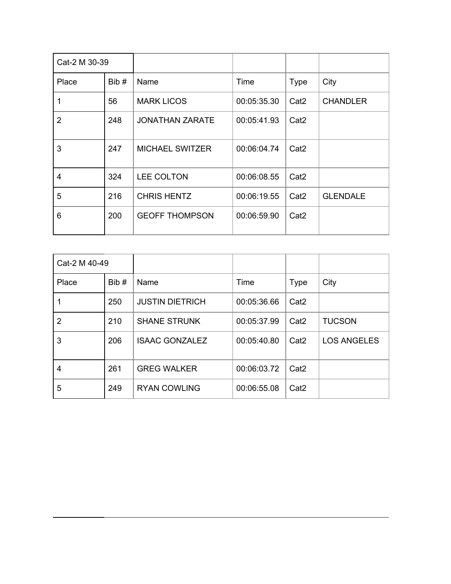| Cat-2 M 30-39  |      |                        |             |                  |                 |
|----------------|------|------------------------|-------------|------------------|-----------------|
| Place          | Bib# | Name                   | Time        | <b>Type</b>      | City            |
| 1              | 56   | <b>MARK LICOS</b>      | 00:05:35.30 | Cat <sub>2</sub> | <b>CHANDLER</b> |
| $\overline{2}$ | 248  | <b>JONATHAN ZARATE</b> | 00:05:41.93 | Cat <sub>2</sub> |                 |
| 3              | 247  | <b>MICHAEL SWITZER</b> | 00:06:04.74 | Cat <sub>2</sub> |                 |
| $\overline{4}$ | 324  | LEE COLTON             | 00:06:08.55 | Cat <sub>2</sub> |                 |
| 5              | 216  | <b>CHRIS HENTZ</b>     | 00:06:19.55 | Cat <sub>2</sub> | <b>GLENDALE</b> |
| 6              | 200  | <b>GEOFF THOMPSON</b>  | 00:06:59.90 | Cat <sub>2</sub> |                 |

| Cat-2 M 40-49  |      |                        |             |                  |                    |
|----------------|------|------------------------|-------------|------------------|--------------------|
| Place          | Bib# | Name                   | Time        | <b>Type</b>      | City               |
|                | 250  | <b>JUSTIN DIETRICH</b> | 00:05:36.66 | Cat <sub>2</sub> |                    |
| $\overline{2}$ | 210  | <b>SHANE STRUNK</b>    | 00:05:37.99 | Cat <sub>2</sub> | <b>TUCSON</b>      |
| 3              | 206  | <b>ISAAC GONZALEZ</b>  | 00:05:40.80 | Cat <sub>2</sub> | <b>LOS ANGELES</b> |
| 4              | 261  | <b>GREG WALKER</b>     | 00:06:03.72 | Cat <sub>2</sub> |                    |
| 5              | 249  | <b>RYAN COWLING</b>    | 00:06:55.08 | Cat <sub>2</sub> |                    |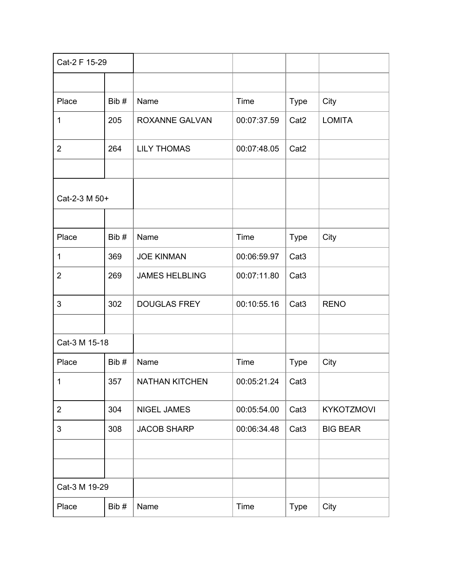| Cat-2 F 15-29  |      |                       |             |                  |                   |
|----------------|------|-----------------------|-------------|------------------|-------------------|
|                |      |                       |             |                  |                   |
| Place          | Bib# | Name                  | Time        | <b>Type</b>      | City              |
| 1              | 205  | <b>ROXANNE GALVAN</b> | 00:07:37.59 | Cat <sub>2</sub> | <b>LOMITA</b>     |
| $\overline{2}$ | 264  | <b>LILY THOMAS</b>    | 00:07:48.05 | Cat <sub>2</sub> |                   |
|                |      |                       |             |                  |                   |
| Cat-2-3 M 50+  |      |                       |             |                  |                   |
|                |      |                       |             |                  |                   |
| Place          | Bib# | Name                  | Time        | <b>Type</b>      | City              |
| 1              | 369  | <b>JOE KINMAN</b>     | 00:06:59.97 | Cat <sub>3</sub> |                   |
| $\overline{2}$ | 269  | <b>JAMES HELBLING</b> | 00:07:11.80 | Cat <sub>3</sub> |                   |
| 3              | 302  | <b>DOUGLAS FREY</b>   | 00:10:55.16 | Cat <sub>3</sub> | <b>RENO</b>       |
|                |      |                       |             |                  |                   |
| Cat-3 M 15-18  |      |                       |             |                  |                   |
| Place          | Bib# | Name                  | Time        | <b>Type</b>      | City              |
| 1 <sup>1</sup> | 357  | NATHAN KITCHEN        | 00:05:21.24 | Cat <sub>3</sub> |                   |
| $\overline{2}$ | 304  | <b>NIGEL JAMES</b>    | 00:05:54.00 | Cat <sub>3</sub> | <b>KYKOTZMOVI</b> |
| 3              | 308  | <b>JACOB SHARP</b>    | 00:06:34.48 | Cat <sub>3</sub> | <b>BIG BEAR</b>   |
|                |      |                       |             |                  |                   |
|                |      |                       |             |                  |                   |
| Cat-3 M 19-29  |      |                       |             |                  |                   |
| Place          | Bib# | Name                  | Time        | <b>Type</b>      | City              |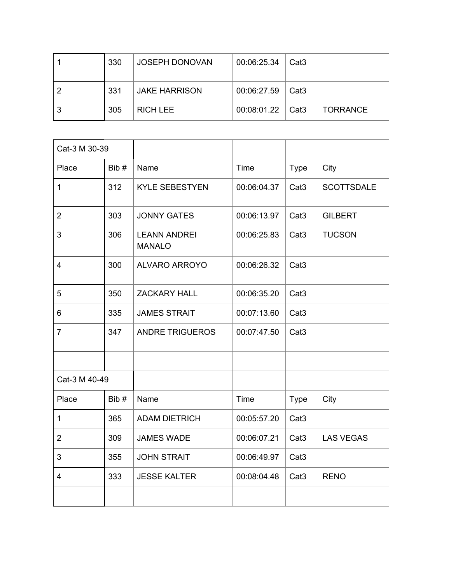|   | 330 | <b>JOSEPH DONOVAN</b> | 00:06:25.34                | Cat3 |                 |
|---|-----|-----------------------|----------------------------|------|-----------------|
|   | 331 | <b>JAKE HARRISON</b>  | 00:06:27.59                | Cat3 |                 |
| 3 | 305 | <b>RICH LEE</b>       | $00:08:01.22$ $\vert$ Cat3 |      | <b>TORRANCE</b> |

| Cat-3 M 30-39  |      |                                      |             |                  |                   |
|----------------|------|--------------------------------------|-------------|------------------|-------------------|
| Place          | Bib# | Name                                 | Time        | <b>Type</b>      | City              |
| $\mathbf{1}$   | 312  | <b>KYLE SEBESTYEN</b>                | 00:06:04.37 | Cat <sub>3</sub> | <b>SCOTTSDALE</b> |
| $\overline{2}$ | 303  | <b>JONNY GATES</b>                   | 00:06:13.97 | Cat <sub>3</sub> | <b>GILBERT</b>    |
| 3              | 306  | <b>LEANN ANDREI</b><br><b>MANALO</b> | 00:06:25.83 | Cat <sub>3</sub> | <b>TUCSON</b>     |
| 4              | 300  | <b>ALVARO ARROYO</b>                 | 00:06:26.32 | Cat <sub>3</sub> |                   |
| 5              | 350  | <b>ZACKARY HALL</b>                  | 00:06:35.20 | Cat <sub>3</sub> |                   |
| 6              | 335  | <b>JAMES STRAIT</b>                  | 00:07:13.60 | Cat <sub>3</sub> |                   |
| $\overline{7}$ | 347  | <b>ANDRE TRIGUEROS</b>               | 00:07:47.50 | Cat <sub>3</sub> |                   |
|                |      |                                      |             |                  |                   |
| Cat-3 M 40-49  |      |                                      |             |                  |                   |
| Place          | Bib# | Name                                 | Time        | <b>Type</b>      | City              |
| 1              | 365  | <b>ADAM DIETRICH</b>                 | 00:05:57.20 | Cat <sub>3</sub> |                   |
| $\overline{2}$ | 309  | <b>JAMES WADE</b>                    | 00:06:07.21 | Cat <sub>3</sub> | <b>LAS VEGAS</b>  |
| 3              | 355  | <b>JOHN STRAIT</b>                   | 00:06:49.97 | Cat <sub>3</sub> |                   |
| 4              | 333  | <b>JESSE KALTER</b>                  | 00:08:04.48 | Cat <sub>3</sub> | <b>RENO</b>       |
|                |      |                                      |             |                  |                   |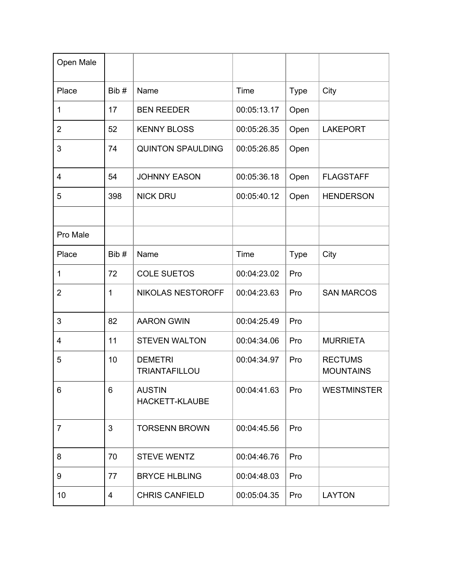| Open Male      |      |                                        |             |             |                                    |
|----------------|------|----------------------------------------|-------------|-------------|------------------------------------|
| Place          | Bib# | Name                                   | Time        | <b>Type</b> | City                               |
| 1              | 17   | <b>BEN REEDER</b>                      | 00:05:13.17 | Open        |                                    |
| 2              | 52   | <b>KENNY BLOSS</b>                     | 00:05:26.35 | Open        | <b>LAKEPORT</b>                    |
| 3              | 74   | <b>QUINTON SPAULDING</b>               | 00:05:26.85 | Open        |                                    |
| $\overline{4}$ | 54   | <b>JOHNNY EASON</b>                    | 00:05:36.18 | Open        | <b>FLAGSTAFF</b>                   |
| 5              | 398  | <b>NICK DRU</b>                        | 00:05:40.12 | Open        | <b>HENDERSON</b>                   |
|                |      |                                        |             |             |                                    |
| Pro Male       |      |                                        |             |             |                                    |
| Place          | Bib# | Name                                   | Time        | <b>Type</b> | City                               |
| $\mathbf 1$    | 72   | <b>COLE SUETOS</b>                     | 00:04:23.02 | Pro         |                                    |
| $\overline{2}$ | 1    | <b>NIKOLAS NESTOROFF</b>               | 00:04:23.63 | Pro         | <b>SAN MARCOS</b>                  |
| 3              | 82   | <b>AARON GWIN</b>                      | 00:04:25.49 | Pro         |                                    |
| $\overline{4}$ | 11   | <b>STEVEN WALTON</b>                   | 00:04:34.06 | Pro         | <b>MURRIETA</b>                    |
| 5              | 10   | <b>DEMETRI</b><br><b>TRIANTAFILLOU</b> | 00:04:34.97 | Pro         | <b>RECTUMS</b><br><b>MOUNTAINS</b> |
| 6              | 6    | <b>AUSTIN</b><br><b>HACKETT-KLAUBE</b> | 00:04:41.63 | Pro         | <b>WESTMINSTER</b>                 |
| $\overline{7}$ | 3    | <b>TORSENN BROWN</b>                   | 00:04:45.56 | Pro         |                                    |
| 8              | 70   | <b>STEVE WENTZ</b>                     | 00:04:46.76 | Pro         |                                    |
| 9              | 77   | <b>BRYCE HLBLING</b>                   | 00:04:48.03 | Pro         |                                    |
| 10             | 4    | <b>CHRIS CANFIELD</b>                  | 00:05:04.35 | Pro         | <b>LAYTON</b>                      |